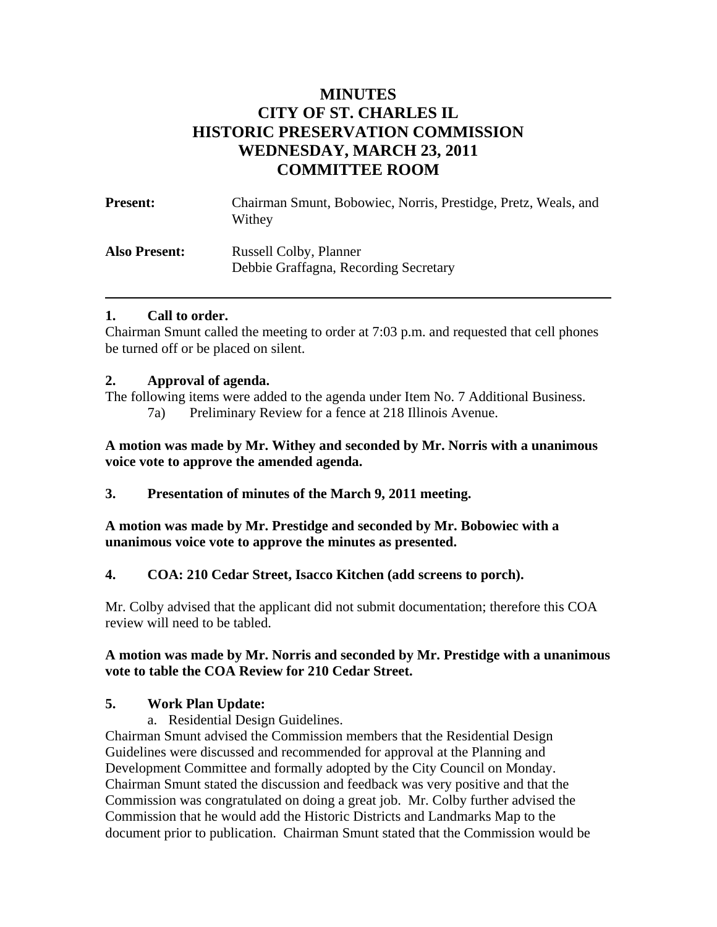# **MINUTES CITY OF ST. CHARLES IL HISTORIC PRESERVATION COMMISSION WEDNESDAY, MARCH 23, 2011 COMMITTEE ROOM**

| <b>Present:</b>      | Chairman Smunt, Bobowiec, Norris, Prestidge, Pretz, Weals, and<br>Withey |
|----------------------|--------------------------------------------------------------------------|
| <b>Also Present:</b> | <b>Russell Colby, Planner</b><br>Debbie Graffagna, Recording Secretary   |

### **1. Call to order.**

Chairman Smunt called the meeting to order at 7:03 p.m. and requested that cell phones be turned off or be placed on silent.

### **2. Approval of agenda.**

The following items were added to the agenda under Item No. 7 Additional Business.

7a) Preliminary Review for a fence at 218 Illinois Avenue.

**A motion was made by Mr. Withey and seconded by Mr. Norris with a unanimous voice vote to approve the amended agenda.** 

**3. Presentation of minutes of the March 9, 2011 meeting.** 

**A motion was made by Mr. Prestidge and seconded by Mr. Bobowiec with a unanimous voice vote to approve the minutes as presented.** 

## **4. COA: 210 Cedar Street, Isacco Kitchen (add screens to porch).**

Mr. Colby advised that the applicant did not submit documentation; therefore this COA review will need to be tabled.

### **A motion was made by Mr. Norris and seconded by Mr. Prestidge with a unanimous vote to table the COA Review for 210 Cedar Street.**

## **5. Work Plan Update:**

a. Residential Design Guidelines.

Chairman Smunt advised the Commission members that the Residential Design Guidelines were discussed and recommended for approval at the Planning and Development Committee and formally adopted by the City Council on Monday. Chairman Smunt stated the discussion and feedback was very positive and that the Commission was congratulated on doing a great job. Mr. Colby further advised the Commission that he would add the Historic Districts and Landmarks Map to the document prior to publication. Chairman Smunt stated that the Commission would be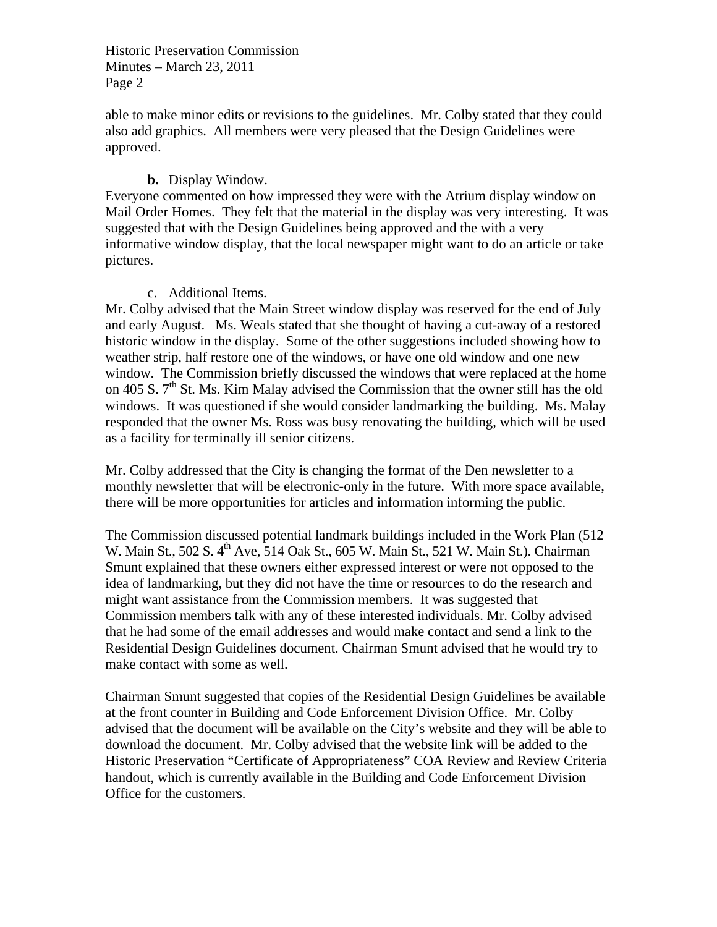Historic Preservation Commission Minutes – March 23, 2011 Page 2

able to make minor edits or revisions to the guidelines. Mr. Colby stated that they could also add graphics. All members were very pleased that the Design Guidelines were approved.

#### **b.** Display Window.

Everyone commented on how impressed they were with the Atrium display window on Mail Order Homes. They felt that the material in the display was very interesting. It was suggested that with the Design Guidelines being approved and the with a very informative window display, that the local newspaper might want to do an article or take pictures.

#### c. Additional Items.

Mr. Colby advised that the Main Street window display was reserved for the end of July and early August. Ms. Weals stated that she thought of having a cut-away of a restored historic window in the display. Some of the other suggestions included showing how to weather strip, half restore one of the windows, or have one old window and one new window. The Commission briefly discussed the windows that were replaced at the home on 405 S.  $7<sup>th</sup>$  St. Ms. Kim Malay advised the Commission that the owner still has the old windows. It was questioned if she would consider landmarking the building. Ms. Malay responded that the owner Ms. Ross was busy renovating the building, which will be used as a facility for terminally ill senior citizens.

Mr. Colby addressed that the City is changing the format of the Den newsletter to a monthly newsletter that will be electronic-only in the future. With more space available, there will be more opportunities for articles and information informing the public.

The Commission discussed potential landmark buildings included in the Work Plan (512 W. Main St., 502 S. 4<sup>th</sup> Ave, 514 Oak St., 605 W. Main St., 521 W. Main St.). Chairman Smunt explained that these owners either expressed interest or were not opposed to the idea of landmarking, but they did not have the time or resources to do the research and might want assistance from the Commission members. It was suggested that Commission members talk with any of these interested individuals. Mr. Colby advised that he had some of the email addresses and would make contact and send a link to the Residential Design Guidelines document. Chairman Smunt advised that he would try to make contact with some as well.

Chairman Smunt suggested that copies of the Residential Design Guidelines be available at the front counter in Building and Code Enforcement Division Office. Mr. Colby advised that the document will be available on the City's website and they will be able to download the document. Mr. Colby advised that the website link will be added to the Historic Preservation "Certificate of Appropriateness" COA Review and Review Criteria handout, which is currently available in the Building and Code Enforcement Division Office for the customers.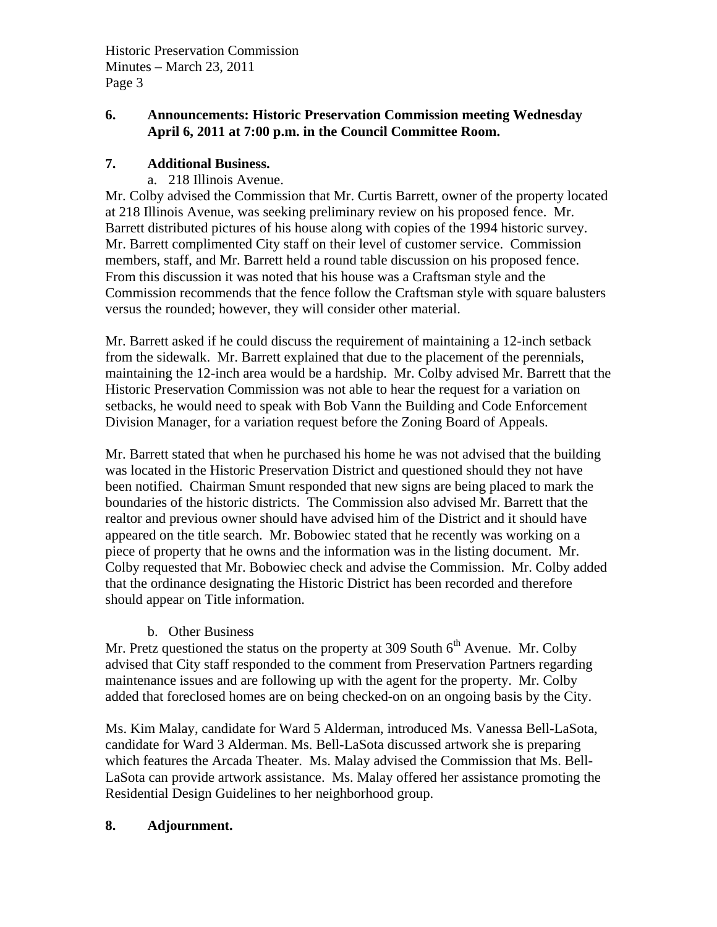# **6. Announcements: Historic Preservation Commission meeting Wednesday April 6, 2011 at 7:00 p.m. in the Council Committee Room.**

## **7. Additional Business.**

a. 218 Illinois Avenue.

Mr. Colby advised the Commission that Mr. Curtis Barrett, owner of the property located at 218 Illinois Avenue, was seeking preliminary review on his proposed fence. Mr. Barrett distributed pictures of his house along with copies of the 1994 historic survey. Mr. Barrett complimented City staff on their level of customer service. Commission members, staff, and Mr. Barrett held a round table discussion on his proposed fence. From this discussion it was noted that his house was a Craftsman style and the Commission recommends that the fence follow the Craftsman style with square balusters versus the rounded; however, they will consider other material.

Mr. Barrett asked if he could discuss the requirement of maintaining a 12-inch setback from the sidewalk. Mr. Barrett explained that due to the placement of the perennials, maintaining the 12-inch area would be a hardship. Mr. Colby advised Mr. Barrett that the Historic Preservation Commission was not able to hear the request for a variation on setbacks, he would need to speak with Bob Vann the Building and Code Enforcement Division Manager, for a variation request before the Zoning Board of Appeals.

Mr. Barrett stated that when he purchased his home he was not advised that the building was located in the Historic Preservation District and questioned should they not have been notified. Chairman Smunt responded that new signs are being placed to mark the boundaries of the historic districts. The Commission also advised Mr. Barrett that the realtor and previous owner should have advised him of the District and it should have appeared on the title search. Mr. Bobowiec stated that he recently was working on a piece of property that he owns and the information was in the listing document. Mr. Colby requested that Mr. Bobowiec check and advise the Commission. Mr. Colby added that the ordinance designating the Historic District has been recorded and therefore should appear on Title information.

## b. Other Business

Mr. Pretz questioned the status on the property at 309 South  $6<sup>th</sup>$  Avenue. Mr. Colby advised that City staff responded to the comment from Preservation Partners regarding maintenance issues and are following up with the agent for the property. Mr. Colby added that foreclosed homes are on being checked-on on an ongoing basis by the City.

Ms. Kim Malay, candidate for Ward 5 Alderman, introduced Ms. Vanessa Bell-LaSota, candidate for Ward 3 Alderman. Ms. Bell-LaSota discussed artwork she is preparing which features the Arcada Theater. Ms. Malay advised the Commission that Ms. Bell-LaSota can provide artwork assistance. Ms. Malay offered her assistance promoting the Residential Design Guidelines to her neighborhood group.

## **8. Adjournment.**